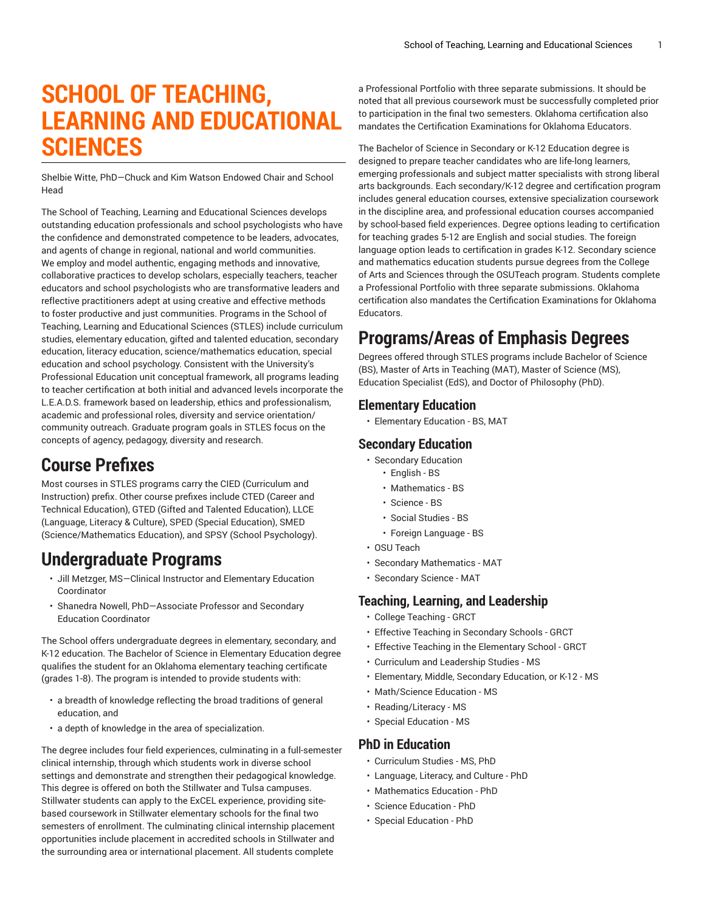# **SCHOOL OF TEACHING, LEARNING AND EDUCATIONAL SCIENCES**

Shelbie Witte, PhD—Chuck and Kim Watson Endowed Chair and School Head

The School of Teaching, Learning and Educational Sciences develops outstanding education professionals and school psychologists who have the confidence and demonstrated competence to be leaders, advocates, and agents of change in regional, national and world communities. We employ and model authentic, engaging methods and innovative, collaborative practices to develop scholars, especially teachers, teacher educators and school psychologists who are transformative leaders and reflective practitioners adept at using creative and effective methods to foster productive and just communities. Programs in the School of Teaching, Learning and Educational Sciences (STLES) include curriculum studies, elementary education, gifted and talented education, secondary education, literacy education, science/mathematics education, special education and school psychology. Consistent with the University's Professional Education unit conceptual framework, all programs leading to teacher certification at both initial and advanced levels incorporate the L.E.A.D.S. framework based on leadership, ethics and professionalism, academic and professional roles, diversity and service orientation/ community outreach. Graduate program goals in STLES focus on the concepts of agency, pedagogy, diversity and research.

### **Course Prefixes**

Most courses in STLES programs carry the CIED (Curriculum and Instruction) prefix. Other course prefixes include CTED (Career and Technical Education), GTED (Gifted and Talented Education), LLCE (Language, Literacy & Culture), SPED (Special Education), SMED (Science/Mathematics Education), and SPSY (School Psychology).

## **Undergraduate Programs**

- Jill Metzger, MS—Clinical Instructor and Elementary Education Coordinator
- Shanedra Nowell, PhD—Associate Professor and Secondary Education Coordinator

The School offers undergraduate degrees in elementary, secondary, and K-12 education. The Bachelor of Science in Elementary Education degree qualifies the student for an Oklahoma elementary teaching certificate (grades 1-8). The program is intended to provide students with:

- a breadth of knowledge reflecting the broad traditions of general education, and
- a depth of knowledge in the area of specialization.

The degree includes four field experiences, culminating in a full-semester clinical internship, through which students work in diverse school settings and demonstrate and strengthen their pedagogical knowledge. This degree is offered on both the Stillwater and Tulsa campuses. Stillwater students can apply to the ExCEL experience, providing sitebased coursework in Stillwater elementary schools for the final two semesters of enrollment. The culminating clinical internship placement opportunities include placement in accredited schools in Stillwater and the surrounding area or international placement. All students complete

a Professional Portfolio with three separate submissions. It should be noted that all previous coursework must be successfully completed prior to participation in the final two semesters. Oklahoma certification also mandates the Certification Examinations for Oklahoma Educators.

The Bachelor of Science in Secondary or K-12 Education degree is designed to prepare teacher candidates who are life-long learners, emerging professionals and subject matter specialists with strong liberal arts backgrounds. Each secondary/K-12 degree and certification program includes general education courses, extensive specialization coursework in the discipline area, and professional education courses accompanied by school-based field experiences. Degree options leading to certification for teaching grades 5-12 are English and social studies. The foreign language option leads to certification in grades K-12. Secondary science and mathematics education students pursue degrees from the College of Arts and Sciences through the OSUTeach program. Students complete a Professional Portfolio with three separate submissions. Oklahoma certification also mandates the Certification Examinations for Oklahoma Educators.

### **Programs/Areas of Emphasis Degrees**

Degrees offered through STLES programs include Bachelor of Science (BS), Master of Arts in Teaching (MAT), Master of Science (MS), Education Specialist (EdS), and Doctor of Philosophy (PhD).

### **Elementary Education**

• Elementary Education - BS, MAT

#### **Secondary Education**

- Secondary Education
	- English BS
	- Mathematics BS
	- Science BS
	- Social Studies BS
	- Foreign Language BS
- OSU Teach
- Secondary Mathematics MAT
- Secondary Science MAT

#### **Teaching, Learning, and Leadership**

- College Teaching GRCT
- Effective Teaching in Secondary Schools GRCT
- Effective Teaching in the Elementary School GRCT
- Curriculum and Leadership Studies MS
- Elementary, Middle, Secondary Education, or K-12 MS
- Math/Science Education MS
- Reading/Literacy MS
- Special Education MS

#### **PhD in Education**

- Curriculum Studies MS, PhD
- Language, Literacy, and Culture PhD
- Mathematics Education PhD
- Science Education PhD
- Special Education PhD